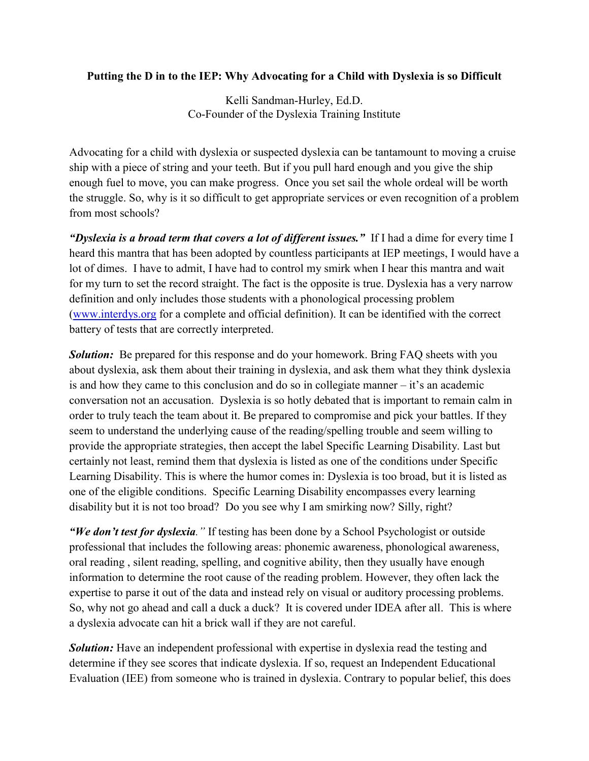## **Putting the D in to the IEP: Why Advocating for a Child with Dyslexia is so Difficult**

Kelli Sandman-Hurley, Ed.D. Co-Founder of the Dyslexia Training Institute

Advocating for a child with dyslexia or suspected dyslexia can be tantamount to moving a cruise ship with a piece of string and your teeth. But if you pull hard enough and you give the ship enough fuel to move, you can make progress. Once you set sail the whole ordeal will be worth the struggle. So, why is it so difficult to get appropriate services or even recognition of a problem from most schools?

*"Dyslexia is a broad term that covers a lot of different issues."* If I had a dime for every time I heard this mantra that has been adopted by countless participants at IEP meetings, I would have a lot of dimes. I have to admit, I have had to control my smirk when I hear this mantra and wait for my turn to set the record straight. The fact is the opposite is true. Dyslexia has a very narrow definition and only includes those students with a phonological processing problem [\(www.interdys.org](http://www.interdys.org/) for a complete and official definition). It can be identified with the correct battery of tests that are correctly interpreted.

**Solution:** Be prepared for this response and do your homework. Bring FAQ sheets with you about dyslexia, ask them about their training in dyslexia, and ask them what they think dyslexia is and how they came to this conclusion and do so in collegiate manner – it's an academic conversation not an accusation. Dyslexia is so hotly debated that is important to remain calm in order to truly teach the team about it. Be prepared to compromise and pick your battles. If they seem to understand the underlying cause of the reading/spelling trouble and seem willing to provide the appropriate strategies, then accept the label Specific Learning Disability. Last but certainly not least, remind them that dyslexia is listed as one of the conditions under Specific Learning Disability. This is where the humor comes in: Dyslexia is too broad, but it is listed as one of the eligible conditions. Specific Learning Disability encompasses every learning disability but it is not too broad? Do you see why I am smirking now? Silly, right?

*"We don't test for dyslexia."* If testing has been done by a School Psychologist or outside professional that includes the following areas: phonemic awareness, phonological awareness, oral reading , silent reading, spelling, and cognitive ability, then they usually have enough information to determine the root cause of the reading problem. However, they often lack the expertise to parse it out of the data and instead rely on visual or auditory processing problems. So, why not go ahead and call a duck a duck? It is covered under IDEA after all. This is where a dyslexia advocate can hit a brick wall if they are not careful.

**Solution:** Have an independent professional with expertise in dyslexia read the testing and determine if they see scores that indicate dyslexia. If so, request an Independent Educational Evaluation (IEE) from someone who is trained in dyslexia. Contrary to popular belief, this does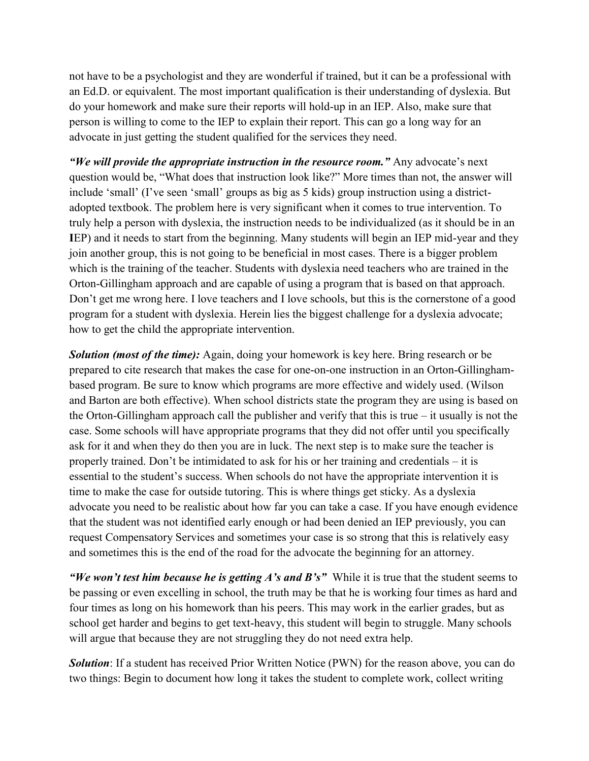not have to be a psychologist and they are wonderful if trained, but it can be a professional with an Ed.D. or equivalent. The most important qualification is their understanding of dyslexia. But do your homework and make sure their reports will hold-up in an IEP. Also, make sure that person is willing to come to the IEP to explain their report. This can go a long way for an advocate in just getting the student qualified for the services they need.

*"We will provide the appropriate instruction in the resource room."* Any advocate's next question would be, "What does that instruction look like?" More times than not, the answer will include 'small' (I've seen 'small' groups as big as 5 kids) group instruction using a districtadopted textbook. The problem here is very significant when it comes to true intervention. To truly help a person with dyslexia, the instruction needs to be individualized (as it should be in an **I**EP) and it needs to start from the beginning. Many students will begin an IEP mid-year and they join another group, this is not going to be beneficial in most cases. There is a bigger problem which is the training of the teacher. Students with dyslexia need teachers who are trained in the Orton-Gillingham approach and are capable of using a program that is based on that approach. Don't get me wrong here. I love teachers and I love schools, but this is the cornerstone of a good program for a student with dyslexia. Herein lies the biggest challenge for a dyslexia advocate; how to get the child the appropriate intervention.

**Solution (most of the time):** Again, doing your homework is key here. Bring research or be prepared to cite research that makes the case for one-on-one instruction in an Orton-Gillinghambased program. Be sure to know which programs are more effective and widely used. (Wilson and Barton are both effective). When school districts state the program they are using is based on the Orton-Gillingham approach call the publisher and verify that this is true – it usually is not the case. Some schools will have appropriate programs that they did not offer until you specifically ask for it and when they do then you are in luck. The next step is to make sure the teacher is properly trained. Don't be intimidated to ask for his or her training and credentials – it is essential to the student's success. When schools do not have the appropriate intervention it is time to make the case for outside tutoring. This is where things get sticky. As a dyslexia advocate you need to be realistic about how far you can take a case. If you have enough evidence that the student was not identified early enough or had been denied an IEP previously, you can request Compensatory Services and sometimes your case is so strong that this is relatively easy and sometimes this is the end of the road for the advocate the beginning for an attorney.

*"We won't test him because he is getting A's and B's"* While it is true that the student seems to be passing or even excelling in school, the truth may be that he is working four times as hard and four times as long on his homework than his peers. This may work in the earlier grades, but as school get harder and begins to get text-heavy, this student will begin to struggle. Many schools will argue that because they are not struggling they do not need extra help.

**Solution**: If a student has received Prior Written Notice (PWN) for the reason above, you can do two things: Begin to document how long it takes the student to complete work, collect writing